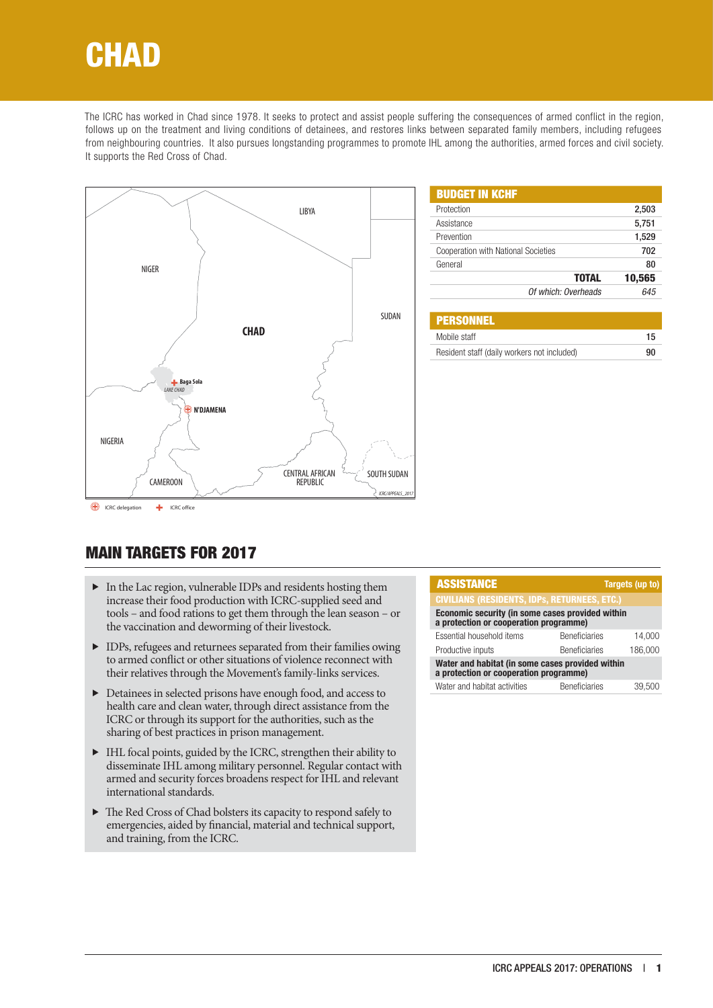# **CHAD**

The ICRC has worked in Chad since 1978. It seeks to protect and assist people suffering the consequences of armed conflict in the region, follows up on the treatment and living conditions of detainees, and restores links between separated family members, including refugees from neighbouring countries. It also pursues longstanding programmes to promote IHL among the authorities, armed forces and civil society. It supports the Red Cross of Chad.



| <b>BUDGET IN KCHF</b>                      |        |
|--------------------------------------------|--------|
| Protection                                 | 2,503  |
| Assistance                                 | 5,751  |
| Prevention                                 | 1,529  |
| <b>Cooperation with National Societies</b> | 702    |
| General                                    | 80     |
| <b>TOTAL</b>                               | 10,565 |
| Of which: Overheads                        | 645    |
|                                            |        |

| <b>PERSONNEL</b>                            |    |
|---------------------------------------------|----|
| Mobile staff                                | 15 |
| Resident staff (daily workers not included) | 90 |

# MAIN TARGETS FOR 2017

- $\blacktriangleright$  In the Lac region, vulnerable IDPs and residents hosting them increase their food production with ICRC-supplied seed and tools – and food rations to get them through the lean season – or the vaccination and deworming of their livestock.
- f IDPs, refugees and returnees separated from their families owing to armed conflict or other situations of violence reconnect with their relatives through the Movement's family-links services.
- $\blacktriangleright$  Detainees in selected prisons have enough food, and access to health care and clean water, through direct assistance from the ICRC or through its support for the authorities, such as the sharing of best practices in prison management.
- f IHL focal points, guided by the ICRC, strengthen their ability to disseminate IHL among military personnel. Regular contact with armed and security forces broadens respect for IHL and relevant international standards.
- $\blacktriangleright$  The Red Cross of Chad bolsters its capacity to respond safely to emergencies, aided by financial, material and technical support, and training, from the ICRC.

| <b>ASSISTANCE</b>                                                                          | Targets (up to)      |         |  |
|--------------------------------------------------------------------------------------------|----------------------|---------|--|
| <b>CIVILIANS (RESIDENTS, IDPS, RETURNEES, ETC.)</b>                                        |                      |         |  |
| Economic security (in some cases provided within<br>a protection or cooperation programme) |                      |         |  |
| Essential household items                                                                  | <b>Beneficiaries</b> | 14.000  |  |
| Productive inputs                                                                          | <b>Beneficiaries</b> | 186.000 |  |
| Water and habitat (in some cases provided within<br>a protection or cooperation programme) |                      |         |  |
| Water and habitat activities                                                               | <b>Beneficiaries</b> | 39.500  |  |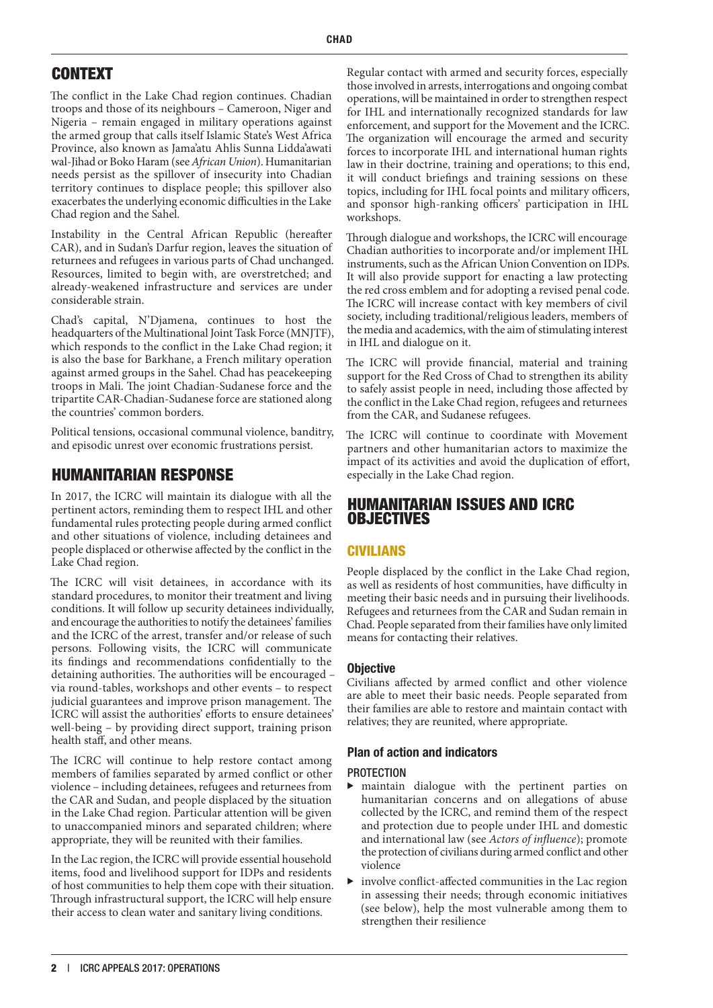# CONTEXT

The conflict in the Lake Chad region continues. Chadian troops and those of its neighbours – Cameroon, Niger and Nigeria – remain engaged in military operations against the armed group that calls itself Islamic State's West Africa Province, also known as Jama'atu Ahlis Sunna Lidda'awati wal-Jihad or Boko Haram (see *African Union*). Humanitarian needs persist as the spillover of insecurity into Chadian territory continues to displace people; this spillover also exacerbates the underlying economic difficulties in the Lake Chad region and the Sahel.

Instability in the Central African Republic (hereafter CAR), and in Sudan's Darfur region, leaves the situation of returnees and refugees in various parts of Chad unchanged. Resources, limited to begin with, are overstretched; and already-weakened infrastructure and services are under considerable strain.

Chad's capital, N'Djamena, continues to host the headquarters of the Multinational Joint Task Force (MNJTF), which responds to the conflict in the Lake Chad region; it is also the base for Barkhane, a French military operation against armed groups in the Sahel. Chad has peacekeeping troops in Mali. The joint Chadian-Sudanese force and the tripartite CAR-Chadian-Sudanese force are stationed along the countries' common borders.

Political tensions, occasional communal violence, banditry, and episodic unrest over economic frustrations persist.

# HUMANITARIAN RESPONSE

In 2017, the ICRC will maintain its dialogue with all the pertinent actors, reminding them to respect IHL and other fundamental rules protecting people during armed conflict and other situations of violence, including detainees and people displaced or otherwise affected by the conflict in the Lake Chad region.

The ICRC will visit detainees, in accordance with its standard procedures, to monitor their treatment and living conditions. It will follow up security detainees individually, and encourage the authorities to notify the detainees' families and the ICRC of the arrest, transfer and/or release of such persons. Following visits, the ICRC will communicate its findings and recommendations confidentially to the detaining authorities. The authorities will be encouraged – via round-tables, workshops and other events – to respect judicial guarantees and improve prison management. The ICRC will assist the authorities' efforts to ensure detainees' well-being – by providing direct support, training prison health staff, and other means.

The ICRC will continue to help restore contact among members of families separated by armed conflict or other violence – including detainees, refugees and returnees from the CAR and Sudan, and people displaced by the situation in the Lake Chad region. Particular attention will be given to unaccompanied minors and separated children; where appropriate, they will be reunited with their families.

In the Lac region, the ICRC will provide essential household items, food and livelihood support for IDPs and residents of host communities to help them cope with their situation. Through infrastructural support, the ICRC will help ensure their access to clean water and sanitary living conditions.

Regular contact with armed and security forces, especially those involved in arrests, interrogations and ongoing combat operations, will be maintained in order to strengthen respect for IHL and internationally recognized standards for law enforcement, and support for the Movement and the ICRC. The organization will encourage the armed and security forces to incorporate IHL and international human rights law in their doctrine, training and operations; to this end, it will conduct briefings and training sessions on these topics, including for IHL focal points and military officers, and sponsor high-ranking officers' participation in IHL workshops.

Through dialogue and workshops, the ICRC will encourage Chadian authorities to incorporate and/or implement IHL instruments, such as the African Union Convention on IDPs. It will also provide support for enacting a law protecting the red cross emblem and for adopting a revised penal code. The ICRC will increase contact with key members of civil society, including traditional/religious leaders, members of the media and academics, with the aim of stimulating interest in IHL and dialogue on it.

The ICRC will provide financial, material and training support for the Red Cross of Chad to strengthen its ability to safely assist people in need, including those affected by the conflict in the Lake Chad region, refugees and returnees from the CAR, and Sudanese refugees.

The ICRC will continue to coordinate with Movement partners and other humanitarian actors to maximize the impact of its activities and avoid the duplication of effort, especially in the Lake Chad region.

# HUMANITARIAN ISSUES AND ICRC **OBJECTIVES**

# CIVILIANS

People displaced by the conflict in the Lake Chad region, as well as residents of host communities, have difficulty in meeting their basic needs and in pursuing their livelihoods. Refugees and returnees from the CAR and Sudan remain in Chad. People separated from their families have only limited means for contacting their relatives.

## **Objective**

Civilians affected by armed conflict and other violence are able to meet their basic needs. People separated from their families are able to restore and maintain contact with relatives; they are reunited, where appropriate.

# Plan of action and indicators

## **PROTECTION**

- $\blacktriangleright$  maintain dialogue with the pertinent parties on humanitarian concerns and on allegations of abuse collected by the ICRC, and remind them of the respect and protection due to people under IHL and domestic and international law (see *Actors of influence*); promote the protection of civilians during armed conflict and other violence
- involve conflict-affected communities in the Lac region in assessing their needs; through economic initiatives (see below), help the most vulnerable among them to strengthen their resilience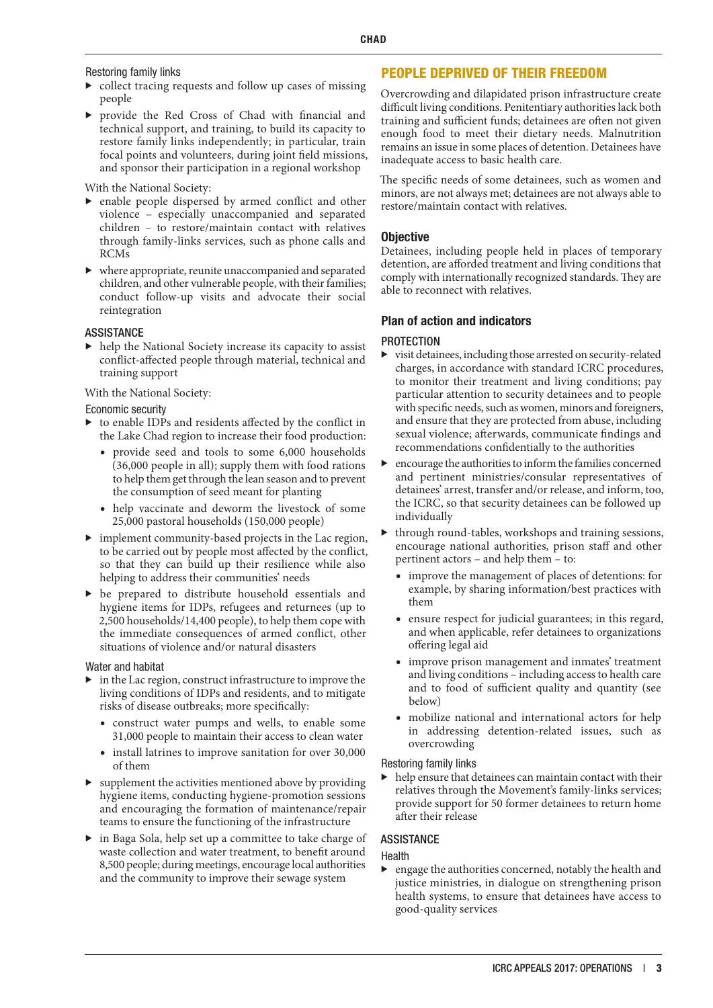Restoring family links

- $\triangleright$  collect tracing requests and follow up cases of missing people
- provide the Red Cross of Chad with financial and technical support, and training, to build its capacity to restore family links independently; in particular, train focal points and volunteers, during joint field missions, and sponsor their participation in a regional workshop

With the National Society:

- $\blacktriangleright$  enable people dispersed by armed conflict and other violence – especially unaccompanied and separated children – to restore/maintain contact with relatives through family-links services, such as phone calls and RCMs
- $\blacktriangleright\;$  where appropriate, reunite unaccompanied and separated children, and other vulnerable people, with their families; conduct follow-up visits and advocate their social reintegration

#### ASSISTANCE

 $\blacktriangleright$  help the National Society increase its capacity to assist conflict-affected people through material, technical and training support

With the National Society:

#### Economic security

- $\triangleright$  to enable IDPs and residents affected by the conflict in the Lake Chad region to increase their food production:
	- provide seed and tools to some 6,000 households (36,000 people in all); supply them with food rations to help them get through the lean season and to prevent the consumption of seed meant for planting
	- help vaccinate and deworm the livestock of some 25,000 pastoral households (150,000 people)
- $\blacktriangleright$  implement community-based projects in the Lac region, to be carried out by people most affected by the conflict, so that they can build up their resilience while also helping to address their communities' needs
- $\blacktriangleright$  be prepared to distribute household essentials and hygiene items for IDPs, refugees and returnees (up to 2,500 households/14,400 people), to help them cope with the immediate consequences of armed conflict, other situations of violence and/or natural disasters

#### Water and habitat

- $\blacktriangleright$  in the Lac region, construct infrastructure to improve the living conditions of IDPs and residents, and to mitigate risks of disease outbreaks; more specifically:
	- construct water pumps and wells, to enable some 31,000 people to maintain their access to clean water
	- install latrines to improve sanitation for over 30,000 of them
- $\blacktriangleright$  supplement the activities mentioned above by providing hygiene items, conducting hygiene-promotion sessions and encouraging the formation of maintenance/repair teams to ensure the functioning of the infrastructure
- $\blacktriangleright$  in Baga Sola, help set up a committee to take charge of waste collection and water treatment, to benefit around 8,500 people; during meetings, encourage local authorities and the community to improve their sewage system

### PEOPLE DEPRIVED OF THEIR FREEDOM

Overcrowding and dilapidated prison infrastructure create difficult living conditions. Penitentiary authorities lack both training and sufficient funds; detainees are often not given enough food to meet their dietary needs. Malnutrition remains an issue in some places of detention. Detainees have inadequate access to basic health care.

The specific needs of some detainees, such as women and minors, are not always met; detainees are not always able to restore/maintain contact with relatives.

#### **Objective**

Detainees, including people held in places of temporary detention, are afforded treatment and living conditions that comply with internationally recognized standards. They are able to reconnect with relatives.

#### Plan of action and indicators

#### **PROTECTION**

- $\blacktriangleright$  visit detainees, including those arrested on security-related charges, in accordance with standard ICRC procedures, to monitor their treatment and living conditions; pay particular attention to security detainees and to people with specific needs, such as women, minors and foreigners, and ensure that they are protected from abuse, including sexual violence; afterwards, communicate findings and recommendations confidentially to the authorities
- $\blacktriangleright$  encourage the authorities to inform the families concerned and pertinent ministries/consular representatives of detainees' arrest, transfer and/or release, and inform, too, the ICRC, so that security detainees can be followed up individually
- $\blacktriangleright$  through round-tables, workshops and training sessions, encourage national authorities, prison staff and other pertinent actors – and help them – to:
	- improve the management of places of detentions: for example, by sharing information/best practices with them
	- ensure respect for judicial guarantees; in this regard, and when applicable, refer detainees to organizations offering legal aid
	- improve prison management and inmates' treatment and living conditions – including access to health care and to food of sufficient quality and quantity (see below)
	- mobilize national and international actors for help in addressing detention-related issues, such as overcrowding

#### Restoring family links

 $\blacktriangleright$  help ensure that detainees can maintain contact with their relatives through the Movement's family-links services; provide support for 50 former detainees to return home after their release

#### ASSISTANCE

#### Health

engage the authorities concerned, notably the health and justice ministries, in dialogue on strengthening prison health systems, to ensure that detainees have access to good-quality services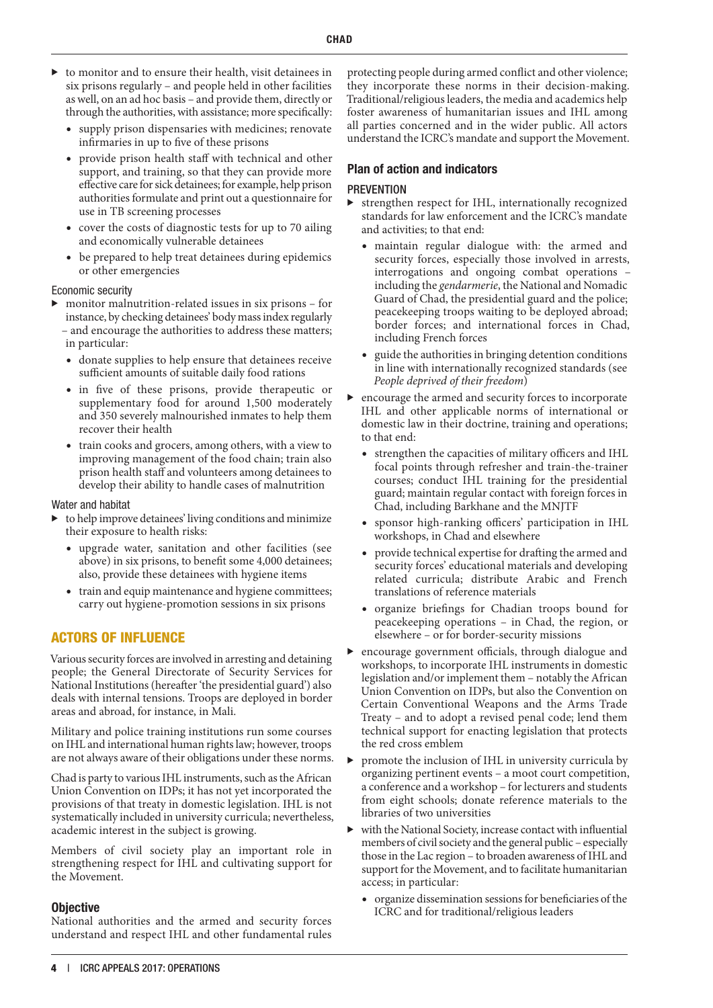- $\blacktriangleright$  to monitor and to ensure their health, visit detainees in six prisons regularly – and people held in other facilities as well, on an ad hoc basis – and provide them, directly or through the authorities, with assistance; more specifically:
	- supply prison dispensaries with medicines; renovate infirmaries in up to five of these prisons
	- provide prison health staff with technical and other support, and training, so that they can provide more effective care for sick detainees; for example, help prison authorities formulate and print out a questionnaire for use in TB screening processes
	- cover the costs of diagnostic tests for up to 70 ailing and economically vulnerable detainees
	- be prepared to help treat detainees during epidemics or other emergencies

#### Economic security

- $\blacktriangleright$  monitor malnutrition-related issues in six prisons for instance, by checking detainees' body mass index regularly – and encourage the authorities to address these matters; in particular:
	- donate supplies to help ensure that detainees receive sufficient amounts of suitable daily food rations
	- in five of these prisons, provide therapeutic or supplementary food for around 1,500 moderately and 350 severely malnourished inmates to help them recover their health
	- train cooks and grocers, among others, with a view to improving management of the food chain; train also prison health staff and volunteers among detainees to develop their ability to handle cases of malnutrition

#### Water and habitat

- $\blacktriangleright$  to help improve detainees' living conditions and minimize their exposure to health risks:
	- upgrade water, sanitation and other facilities (see above) in six prisons, to benefit some 4,000 detainees; also, provide these detainees with hygiene items
	- train and equip maintenance and hygiene committees; carry out hygiene-promotion sessions in six prisons

## ACTORS OF INFLUENCE

Various security forces are involved in arresting and detaining people; the General Directorate of Security Services for National Institutions (hereafter 'the presidential guard') also deals with internal tensions. Troops are deployed in border areas and abroad, for instance, in Mali.

Military and police training institutions run some courses on IHL and international human rights law; however, troops are not always aware of their obligations under these norms.

Chad is party to various IHL instruments, such as the African Union Convention on IDPs; it has not yet incorporated the provisions of that treaty in domestic legislation. IHL is not systematically included in university curricula; nevertheless, academic interest in the subject is growing.

Members of civil society play an important role in strengthening respect for IHL and cultivating support for the Movement.

#### **Objective**

National authorities and the armed and security forces understand and respect IHL and other fundamental rules protecting people during armed conflict and other violence; they incorporate these norms in their decision-making. Traditional/religious leaders, the media and academics help foster awareness of humanitarian issues and IHL among all parties concerned and in the wider public. All actors understand the ICRC's mandate and support the Movement.

#### Plan of action and indicators

#### **PREVENTION**

- $\blacktriangleright$  strengthen respect for IHL, internationally recognized standards for law enforcement and the ICRC's mandate and activities; to that end:
	- maintain regular dialogue with: the armed and security forces, especially those involved in arrests, interrogations and ongoing combat operations – including the *gendarmerie*, the National and Nomadic Guard of Chad, the presidential guard and the police; peacekeeping troops waiting to be deployed abroad; border forces; and international forces in Chad, including French forces
	- guide the authorities in bringing detention conditions in line with internationally recognized standards (see *People deprived of their freedom*)
- $\blacktriangleright$  encourage the armed and security forces to incorporate IHL and other applicable norms of international or domestic law in their doctrine, training and operations; to that end:
	- strengthen the capacities of military officers and IHL focal points through refresher and train-the-trainer courses; conduct IHL training for the presidential guard; maintain regular contact with foreign forces in Chad, including Barkhane and the MNJTF
	- sponsor high-ranking officers' participation in IHL workshops, in Chad and elsewhere
	- provide technical expertise for drafting the armed and security forces' educational materials and developing related curricula; distribute Arabic and French translations of reference materials
	- organize briefings for Chadian troops bound for peacekeeping operations – in Chad, the region, or elsewhere – or for border-security missions
- encourage government officials, through dialogue and workshops, to incorporate IHL instruments in domestic legislation and/or implement them – notably the African Union Convention on IDPs, but also the Convention on Certain Conventional Weapons and the Arms Trade Treaty – and to adopt a revised penal code; lend them technical support for enacting legislation that protects the red cross emblem
- $\triangleright$  promote the inclusion of IHL in university curricula by organizing pertinent events – a moot court competition, a conference and a workshop – for lecturers and students from eight schools; donate reference materials to the libraries of two universities
- with the National Society, increase contact with influential members of civil society and the general public – especially those in the Lac region – to broaden awareness of IHL and support for the Movement, and to facilitate humanitarian access; in particular:
	- organize dissemination sessions for beneficiaries of the ICRC and for traditional/religious leaders